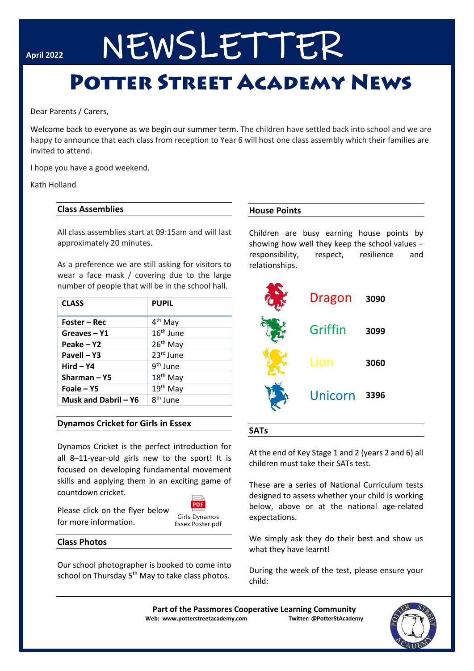# April 2022 NEWSLETTER

## **POTTER STREET ACADEMY NEWS**

Dear Parents / Carers,

Welcome back to everyone as we begin our summer term. The children have settled back into school and we are happy to announce that each class from reception to Year 6 will host one class assembly which their families are invited to attend.

I hope you have a good weekend.

#### Kath Holland

#### **Class Assemblies**

All class assemblies start at 09:15am and will last approximately 20 minutes.

As a preference we are still asking for visitors to wear a face mask / covering due to the large number of people that will be in the school hall.

| <b>CLASS</b>         | <b>PUPIL</b>         |
|----------------------|----------------------|
| Foster – Rec         | 4 <sup>th</sup> May  |
| Greaves-Y1           | $16th$ June          |
| Peake – Y2           | 26 <sup>th</sup> May |
| Pavell - Y3          | $23rd$ June          |
| $Hird - Y4$          | 9 <sup>th</sup> June |
| Sharman-Y5           | 18 <sup>th</sup> May |
| Foale – Y5           | 19 <sup>th</sup> May |
| Musk and Dabril - Y6 | $8th$ lune           |

#### **Dynamos Cricket for Girls in Essex**

Dynamos Cricket is the perfect introduction for all 8–11-year-old girls new to the sport! It is focused on developing fundamental movement skills and applying them in an exciting game of countdown cricket.

Please click on the flyer below for more information.



#### **Class Photos**

Our school photographer is booked to come into school on Thursday 5<sup>th</sup> May to take class photos.

#### **House Points**

Children are busy earning house points by showing how well they keep the school values – responsibility, respect, resilience and relationships.



#### **SATs**

At the end of Key Stage 1 and 2 (years 2 and 6) all children must take their SATs test.

These are a series of National Curriculum tests designed to assess whether your child is working below, above or at the national age-related expectations.

We simply ask they do their best and show us what they have learnt!

During the week of the test, please ensure your child:

**Part of the Passmores Cooperative Learning Community Web: www.potterstreetacademy.com Twitter: @PotterStAcademy**

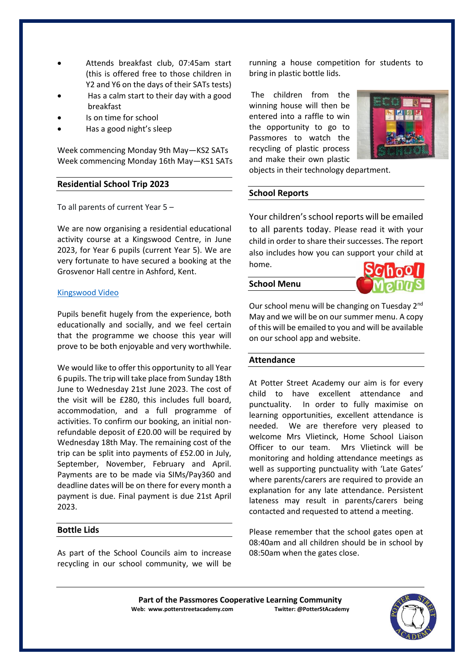- Attends breakfast club, 07:45am start (this is offered free to those children in Y2 and Y6 on the days of their SATs tests)
- Has a calm start to their day with a good breakfast
- Is on time for school
- Has a good night's sleep

Week commencing Monday 9th May—KS2 SATs Week commencing Monday 16th May—KS1 SATs

#### **Residential School Trip 2023**

To all parents of current Year 5 –

We are now organising a residential educational activity course at a Kingswood Centre, in June 2023, for Year 6 pupils (current Year 5). We are very fortunate to have secured a booking at the Grosvenor Hall centre in Ashford, Kent.

#### [Kingswood Video](about:blank)

Pupils benefit hugely from the experience, both educationally and socially, and we feel certain that the programme we choose this year will prove to be both enjoyable and very worthwhile.

We would like to offer this opportunity to all Year 6 pupils. The trip will take place from Sunday 18th June to Wednesday 21st June 2023. The cost of the visit will be £280, this includes full board, accommodation, and a full programme of activities. To confirm our booking, an initial nonrefundable deposit of £20.00 will be required by Wednesday 18th May. The remaining cost of the trip can be split into payments of £52.00 in July, September, November, February and April. Payments are to be made via SIMs/Pay360 and deadline dates will be on there for every month a payment is due. Final payment is due 21st April 2023.

#### **Bottle Lids**

As part of the School Councils aim to increase recycling in our school community, we will be running a house competition for students to bring in plastic bottle lids.

The children from the winning house will then be entered into a raffle to win the opportunity to go to Passmores to watch the recycling of plastic process and make their own plastic



objects in their technology department.

#### **School Reports**

Your children's school reports will be emailed to all parents today. Please read it with your child in order to share their successes. The report also includes how you can support your child at home.

#### **School Menu**



Our school menu will be changing on Tuesday 2nd May and we will be on our summer menu. A copy of this will be emailed to you and will be available on our school app and website.

#### **Attendance**

At Potter Street Academy our aim is for every child to have excellent attendance and punctuality. In order to fully maximise on learning opportunities, excellent attendance is needed. We are therefore very pleased to welcome Mrs Vlietinck, Home School Liaison Officer to our team. Mrs Vlietinck will be monitoring and holding attendance meetings as well as supporting punctuality with 'Late Gates' where parents/carers are required to provide an explanation for any late attendance. Persistent lateness may result in parents/carers being contacted and requested to attend a meeting.

Please remember that the school gates open at 08:40am and all children should be in school by 08:50am when the gates close.